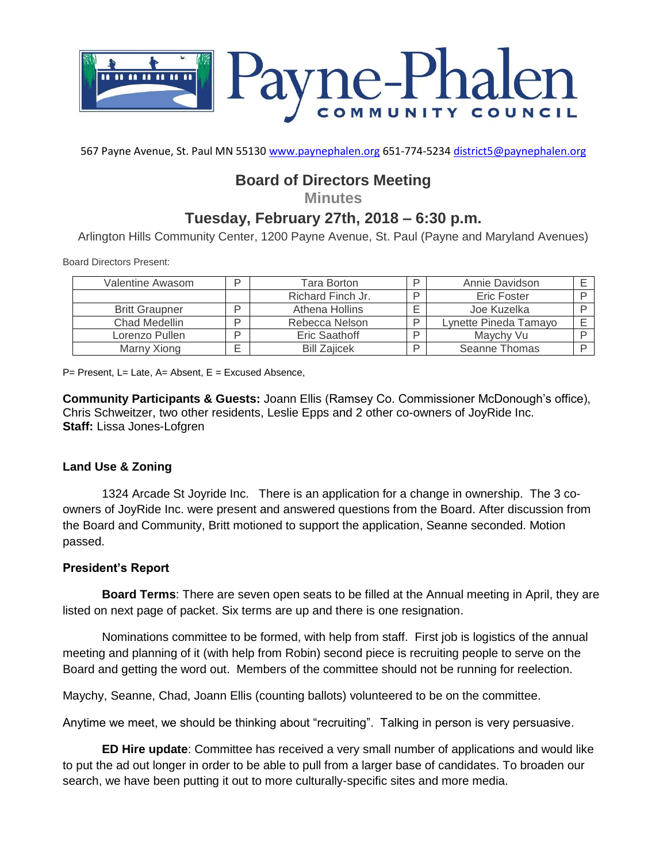

567 Payne Avenue, St. Paul MN 55130 [www.paynephalen.org](http://www.paynephalen.org/) 651-774-5234 [district5@paynephalen.org](mailto:district5@paynephalen.org)

# **Board of Directors Meeting**

**Minutes**

## **Tuesday, February 27th, 2018 – 6:30 p.m.**

Arlington Hills Community Center, 1200 Payne Avenue, St. Paul (Payne and Maryland Avenues)

Board Directors Present:

| Valentine Awasom      | ח      | Tara Borton         |   | Annie Davidson        |  |
|-----------------------|--------|---------------------|---|-----------------------|--|
|                       |        | Richard Finch Jr.   |   | <b>Eric Foster</b>    |  |
| <b>Britt Graupner</b> | ח      | Athena Hollins      |   | Joe Kuzelka           |  |
| Chad Medellin         | D      | Rebecca Nelson      | ח | Lynette Pineda Tamayo |  |
| Lorenzo Pullen        | D      | Eric Saathoff       |   | Maychy Vu             |  |
| Marny Xiong           | −<br>⊢ | <b>Bill Zaiicek</b> |   | Seanne Thomas         |  |

P= Present, L= Late, A= Absent, E = Excused Absence,

**Community Participants & Guests:** Joann Ellis (Ramsey Co. Commissioner McDonough's office), Chris Schweitzer, two other residents, Leslie Epps and 2 other co-owners of JoyRide Inc. **Staff:** Lissa Jones-Lofgren

#### **Land Use & Zoning**

1324 Arcade St Joyride Inc. There is an application for a change in ownership. The 3 coowners of JoyRide Inc. were present and answered questions from the Board. After discussion from the Board and Community, Britt motioned to support the application, Seanne seconded. Motion passed.

#### **President's Report**

**Board Terms**: There are seven open seats to be filled at the Annual meeting in April, they are listed on next page of packet. Six terms are up and there is one resignation.

Nominations committee to be formed, with help from staff. First job is logistics of the annual meeting and planning of it (with help from Robin) second piece is recruiting people to serve on the Board and getting the word out. Members of the committee should not be running for reelection.

Maychy, Seanne, Chad, Joann Ellis (counting ballots) volunteered to be on the committee.

Anytime we meet, we should be thinking about "recruiting". Talking in person is very persuasive.

**ED Hire update**: Committee has received a very small number of applications and would like to put the ad out longer in order to be able to pull from a larger base of candidates. To broaden our search, we have been putting it out to more culturally-specific sites and more media.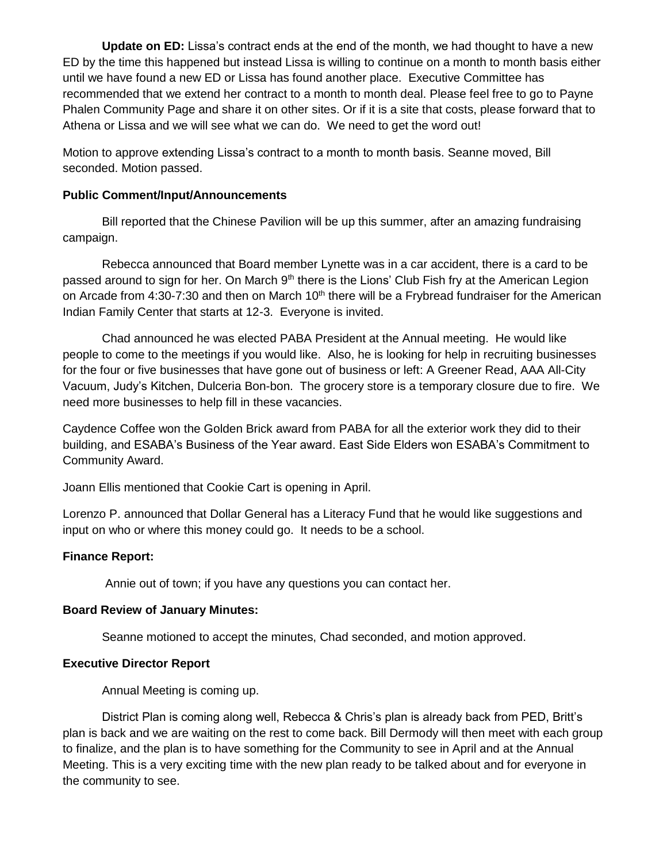**Update on ED:** Lissa's contract ends at the end of the month, we had thought to have a new ED by the time this happened but instead Lissa is willing to continue on a month to month basis either until we have found a new ED or Lissa has found another place. Executive Committee has recommended that we extend her contract to a month to month deal. Please feel free to go to Payne Phalen Community Page and share it on other sites. Or if it is a site that costs, please forward that to Athena or Lissa and we will see what we can do. We need to get the word out!

Motion to approve extending Lissa's contract to a month to month basis. Seanne moved, Bill seconded. Motion passed.

#### **Public Comment/Input/Announcements**

Bill reported that the Chinese Pavilion will be up this summer, after an amazing fundraising campaign.

Rebecca announced that Board member Lynette was in a car accident, there is a card to be passed around to sign for her. On March  $9<sup>th</sup>$  there is the Lions' Club Fish fry at the American Legion on Arcade from 4:30-7:30 and then on March 10<sup>th</sup> there will be a Frybread fundraiser for the American Indian Family Center that starts at 12-3. Everyone is invited.

Chad announced he was elected PABA President at the Annual meeting. He would like people to come to the meetings if you would like. Also, he is looking for help in recruiting businesses for the four or five businesses that have gone out of business or left: A Greener Read, AAA All-City Vacuum, Judy's Kitchen, Dulceria Bon-bon. The grocery store is a temporary closure due to fire. We need more businesses to help fill in these vacancies.

Caydence Coffee won the Golden Brick award from PABA for all the exterior work they did to their building, and ESABA's Business of the Year award. East Side Elders won ESABA's Commitment to Community Award.

Joann Ellis mentioned that Cookie Cart is opening in April.

Lorenzo P. announced that Dollar General has a Literacy Fund that he would like suggestions and input on who or where this money could go. It needs to be a school.

## **Finance Report:**

Annie out of town; if you have any questions you can contact her.

#### **Board Review of January Minutes:**

Seanne motioned to accept the minutes, Chad seconded, and motion approved.

#### **Executive Director Report**

Annual Meeting is coming up.

District Plan is coming along well, Rebecca & Chris's plan is already back from PED, Britt's plan is back and we are waiting on the rest to come back. Bill Dermody will then meet with each group to finalize, and the plan is to have something for the Community to see in April and at the Annual Meeting. This is a very exciting time with the new plan ready to be talked about and for everyone in the community to see.